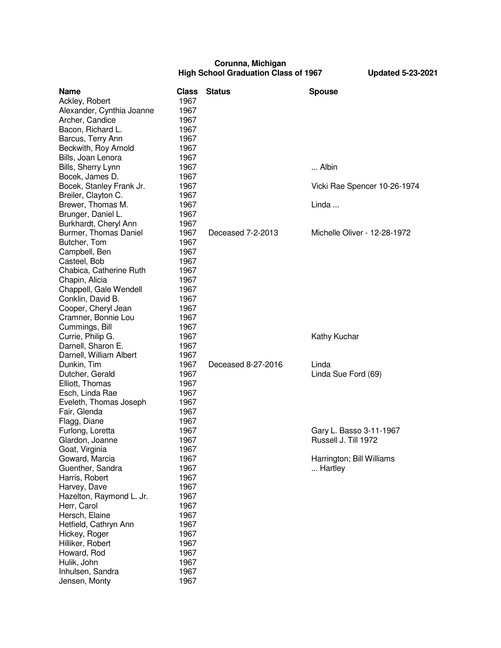## **Corunna, Michigan High School Graduation Class of 1967 Updated 5-23-2021**

Class Status **Spouse** 1967<br>1967 Bills, Sherry Lynn 1967 ... Albin **Vicki Rae Spencer 10-26-1974** 1967<br>1967 Brewer, Thomas M. 1967 Linda ... 1967<br>1967

Burmer, Thomas Daniel 1967 Deceased 7-2-2013 Michelle Oliver - 12-28-1972

Kathy Kuchar

1967 Deceased 8-27-2016 Linda<br>1967 Linda Linda Sue Ford (69)

Furlong, Cary L. Basso 3-11-1967<br>Furlong, Russell J. Till 1972 Russell J. Till 1972

1967 **Harrington; Bill Williams**<br>1967 **Harrington; Bill Williams** ... Hartley

| Name                             | Class |
|----------------------------------|-------|
| Ackley, Robert                   | 1967  |
| Alexander, Cynthia Joanne        | 1967  |
| Archer, Candice                  | 1967  |
| Bacon, Richard L.                | 1967  |
| Barcus, Terry Ann                | 1967  |
| Beckwith, Roy Arnold             | 1967  |
| Bills, Joan Lenora               | 1967  |
| Bills, Sherry Lynn               | 1967  |
| Bocek, James D.                  | 1967  |
| Bocek, Stanley Frank Jr.         | 1967  |
| Breiler, Clayton C.              | 1967  |
| Brewer, Thomas M.                | 1967  |
| Brunger, Daniel L.               | 1967  |
|                                  |       |
| Burkhardt, Cheryl Ann            | 1967  |
| Burmer, Thomas Daniel            | 1967  |
| Butcher, Tom                     | 1967  |
| Campbell, Ben                    | 1967  |
| Casteel, Bob                     | 1967  |
| Chabica, Catherine Ruth          | 1967  |
| Chapin, Alicia                   | 1967  |
| Chappell, Gale Wendell           | 1967  |
| Conklin, David B.                | 1967  |
| Cooper, Cheryl Jean              | 1967  |
| Cramner, Bonnie Lou              | 1967  |
| Cummings, Bill                   | 1967  |
| Currie, Philip G.                | 1967  |
| Darnell, Sharon E.               | 1967  |
| Darnell, William Albert          | 1967  |
| Dunkin, Tim                      | 1967  |
| Dutcher, Gerald                  | 1967  |
| Elliott, Thomas                  | 1967  |
| Esch, Linda Rae                  | 1967  |
| Eveleth, Thomas Joseph           | 1967  |
| Fair, Glenda                     | 1967  |
|                                  |       |
| Flagg, Diane<br>Furlong, Loretta | 1967  |
|                                  | 1967  |
| Glardon, Joanne                  | 1967  |
| Goat, Virginia                   | 1967  |
| Goward, Marcia                   | 1967  |
| Guenther, Sandra                 | 1967  |
| Harris, Robert                   | 1967  |
| Harvey, Dave                     | 1967  |
| Hazelton, Raymond L. Jr.         | 1967  |
| Herr, Carol                      | 1967  |
| Hersch, Elaine                   | 1967  |
| Hetfield, Cathryn Ann            | 1967  |
| Hickey, Roger                    | 1967  |
| Hilliker, Robert                 | 1967  |
| Howard, Rod                      | 1967  |
| Hulik, John                      | 1967  |
| Inhulsen, Sandra                 | 1967  |
| Jensen, Monty                    | 1967  |
|                                  |       |

1967<br>1967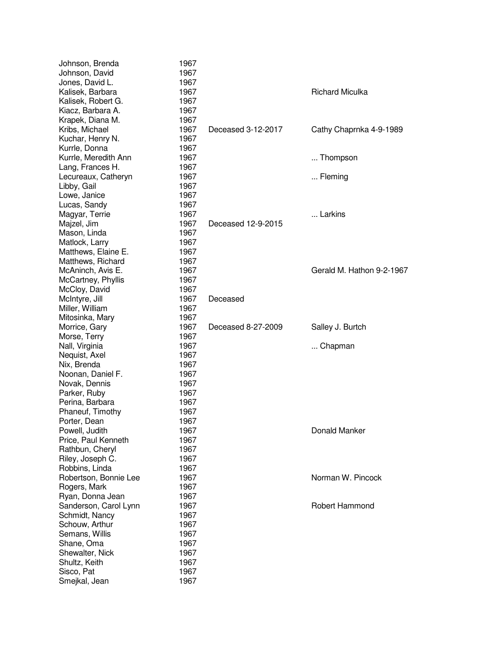| Johnson, Brenda       | 1967 |                    |                           |
|-----------------------|------|--------------------|---------------------------|
| Johnson, David        | 1967 |                    |                           |
| Jones, David L.       | 1967 |                    |                           |
| Kalisek, Barbara      | 1967 |                    | <b>Richard Miculka</b>    |
| Kalisek, Robert G.    | 1967 |                    |                           |
| Kiacz, Barbara A.     | 1967 |                    |                           |
| Krapek, Diana M.      | 1967 |                    |                           |
| Kribs, Michael        | 1967 | Deceased 3-12-2017 | Cathy Chaprnka 4-9-1989   |
| Kuchar, Henry N.      | 1967 |                    |                           |
| Kurrle, Donna         | 1967 |                    |                           |
| Kurrle, Meredith Ann  | 1967 |                    | Thompson                  |
| Lang, Frances H.      | 1967 |                    |                           |
| Lecureaux, Catheryn   | 1967 |                    | Fleming                   |
| Libby, Gail           | 1967 |                    |                           |
| Lowe, Janice          | 1967 |                    |                           |
| Lucas, Sandy          | 1967 |                    |                           |
| Magyar, Terrie        | 1967 |                    | Larkins                   |
| Majzel, Jim           | 1967 | Deceased 12-9-2015 |                           |
| Mason, Linda          | 1967 |                    |                           |
| Matlock, Larry        | 1967 |                    |                           |
| Matthews, Elaine E.   | 1967 |                    |                           |
| Matthews, Richard     | 1967 |                    |                           |
| McAninch, Avis E.     | 1967 |                    | Gerald M. Hathon 9-2-1967 |
| McCartney, Phyllis    | 1967 |                    |                           |
| McCloy, David         | 1967 |                    |                           |
| McIntyre, Jill        | 1967 | Deceased           |                           |
| Miller, William       | 1967 |                    |                           |
| Mitosinka, Mary       | 1967 |                    |                           |
| Morrice, Gary         | 1967 | Deceased 8-27-2009 | Salley J. Burtch          |
| Morse, Terry          | 1967 |                    |                           |
| Nall, Virginia        | 1967 |                    | Chapman                   |
| Nequist, Axel         | 1967 |                    |                           |
| Nix, Brenda           | 1967 |                    |                           |
| Noonan, Daniel F.     | 1967 |                    |                           |
| Novak, Dennis         | 1967 |                    |                           |
| Parker, Ruby          | 1967 |                    |                           |
| Perina, Barbara       | 1967 |                    |                           |
| Phaneuf, Timothy      | 1967 |                    |                           |
| Porter, Dean          | 1967 |                    |                           |
| Powell, Judith        | 1967 |                    | Donald Manker             |
| Price, Paul Kenneth   | 1967 |                    |                           |
|                       |      |                    |                           |
| Rathbun, Cheryl       | 1967 |                    |                           |
| Riley, Joseph C.      | 1967 |                    |                           |
| Robbins, Linda        | 1967 |                    |                           |
| Robertson, Bonnie Lee | 1967 |                    | Norman W. Pincock         |
| Rogers, Mark          | 1967 |                    |                           |
| Ryan, Donna Jean      | 1967 |                    |                           |
| Sanderson, Carol Lynn | 1967 |                    | Robert Hammond            |
| Schmidt, Nancy        | 1967 |                    |                           |
| Schouw, Arthur        | 1967 |                    |                           |
| Semans, Willis        | 1967 |                    |                           |
| Shane, Oma            | 1967 |                    |                           |
| Shewalter, Nick       | 1967 |                    |                           |
| Shultz, Keith         | 1967 |                    |                           |
| Sisco, Pat            | 1967 |                    |                           |
| Smejkal, Jean         | 1967 |                    |                           |